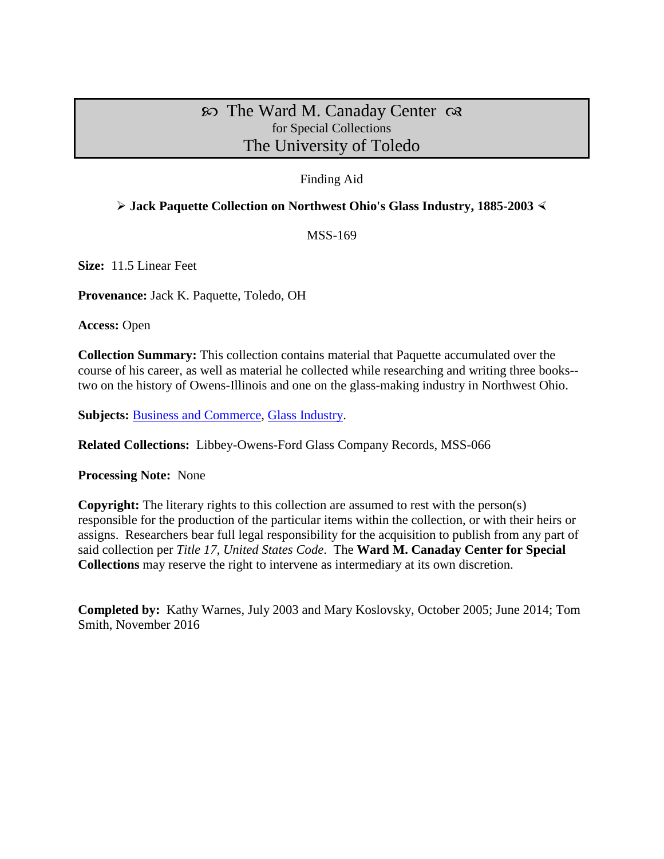## $\infty$  The Ward M. Canaday Center  $\infty$ for Special Collections The University of Toledo

## Finding Aid

## **Jack Paquette Collection on Northwest Ohio's Glass Industry, 1885-2003**

MSS-169

**Size:** 11.5 Linear Feet

**Provenance:** Jack K. Paquette, Toledo, OH

**Access:** Open

**Collection Summary:** This collection contains material that Paquette accumulated over the course of his career, as well as material he collected while researching and writing three books- two on the history of Owens-Illinois and one on the glass-making industry in Northwest Ohio.

**Subjects:** [Business and Commerce,](http://www.utoledo.edu/library/canaday/guidepages/business.html) [Glass Industry.](http://www.utoledo.edu/library/canaday/guidepages/glass.html)

**Related Collections:** Libbey-Owens-Ford Glass Company Records, MSS-066

**Processing Note:** None

**Copyright:** The literary rights to this collection are assumed to rest with the person(s) responsible for the production of the particular items within the collection, or with their heirs or assigns. Researchers bear full legal responsibility for the acquisition to publish from any part of said collection per *Title 17, United States Code*. The **Ward M. Canaday Center for Special Collections** may reserve the right to intervene as intermediary at its own discretion.

**Completed by:** Kathy Warnes, July 2003 and Mary Koslovsky, October 2005; June 2014; Tom Smith, November 2016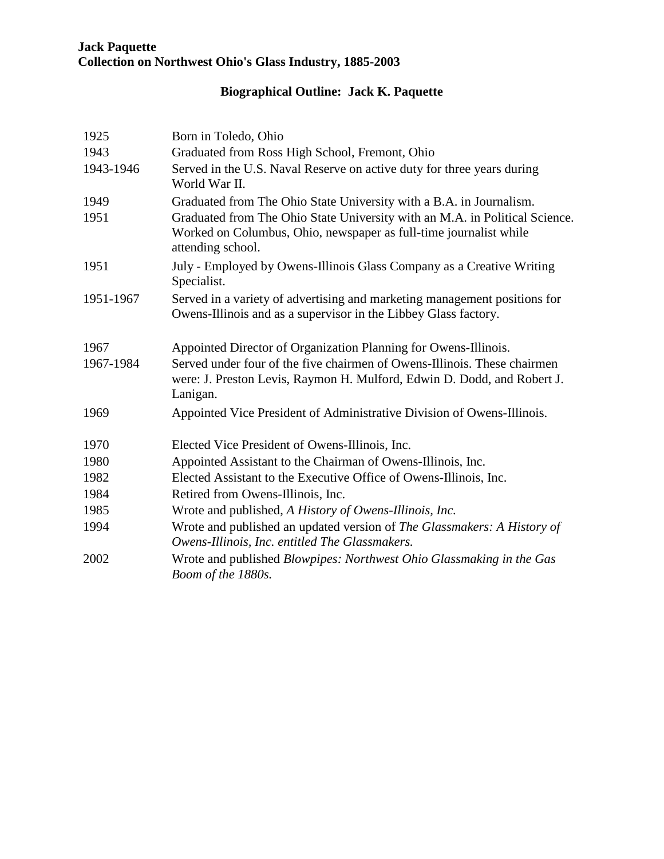# **Biographical Outline: Jack K. Paquette**

| 1925      | Born in Toledo, Ohio                                                                                                                                                  |
|-----------|-----------------------------------------------------------------------------------------------------------------------------------------------------------------------|
| 1943      | Graduated from Ross High School, Fremont, Ohio                                                                                                                        |
| 1943-1946 | Served in the U.S. Naval Reserve on active duty for three years during<br>World War II.                                                                               |
| 1949      | Graduated from The Ohio State University with a B.A. in Journalism.                                                                                                   |
| 1951      | Graduated from The Ohio State University with an M.A. in Political Science.<br>Worked on Columbus, Ohio, newspaper as full-time journalist while<br>attending school. |
| 1951      | July - Employed by Owens-Illinois Glass Company as a Creative Writing<br>Specialist.                                                                                  |
| 1951-1967 | Served in a variety of advertising and marketing management positions for<br>Owens-Illinois and as a supervisor in the Libbey Glass factory.                          |
| 1967      | Appointed Director of Organization Planning for Owens-Illinois.                                                                                                       |
| 1967-1984 | Served under four of the five chairmen of Owens-Illinois. These chairmen<br>were: J. Preston Levis, Raymon H. Mulford, Edwin D. Dodd, and Robert J.<br>Lanigan.       |
| 1969      | Appointed Vice President of Administrative Division of Owens-Illinois.                                                                                                |
| 1970      | Elected Vice President of Owens-Illinois, Inc.                                                                                                                        |
| 1980      | Appointed Assistant to the Chairman of Owens-Illinois, Inc.                                                                                                           |
| 1982      | Elected Assistant to the Executive Office of Owens-Illinois, Inc.                                                                                                     |
| 1984      | Retired from Owens-Illinois, Inc.                                                                                                                                     |
| 1985      | Wrote and published, A History of Owens-Illinois, Inc.                                                                                                                |
| 1994      | Wrote and published an updated version of The Glassmakers: A History of<br>Owens-Illinois, Inc. entitled The Glassmakers.                                             |
| 2002      | Wrote and published <i>Blowpipes: Northwest Ohio Glassmaking in the Gas</i><br>Boom of the 1880s.                                                                     |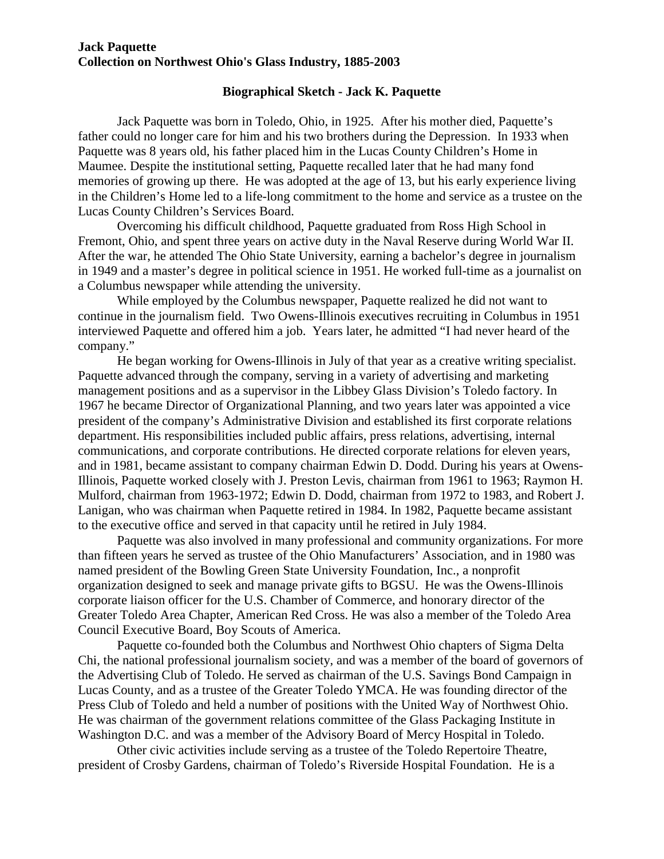#### **Biographical Sketch - Jack K. Paquette**

Jack Paquette was born in Toledo, Ohio, in 1925. After his mother died, Paquette's father could no longer care for him and his two brothers during the Depression. In 1933 when Paquette was 8 years old, his father placed him in the Lucas County Children's Home in Maumee. Despite the institutional setting, Paquette recalled later that he had many fond memories of growing up there. He was adopted at the age of 13, but his early experience living in the Children's Home led to a life-long commitment to the home and service as a trustee on the Lucas County Children's Services Board.

Overcoming his difficult childhood, Paquette graduated from Ross High School in Fremont, Ohio, and spent three years on active duty in the Naval Reserve during World War II. After the war, he attended The Ohio State University, earning a bachelor's degree in journalism in 1949 and a master's degree in political science in 1951. He worked full-time as a journalist on a Columbus newspaper while attending the university.

While employed by the Columbus newspaper, Paquette realized he did not want to continue in the journalism field. Two Owens-Illinois executives recruiting in Columbus in 1951 interviewed Paquette and offered him a job. Years later, he admitted "I had never heard of the company."

He began working for Owens-Illinois in July of that year as a creative writing specialist. Paquette advanced through the company, serving in a variety of advertising and marketing management positions and as a supervisor in the Libbey Glass Division's Toledo factory. In 1967 he became Director of Organizational Planning, and two years later was appointed a vice president of the company's Administrative Division and established its first corporate relations department. His responsibilities included public affairs, press relations, advertising, internal communications, and corporate contributions. He directed corporate relations for eleven years, and in 1981, became assistant to company chairman Edwin D. Dodd. During his years at Owens-Illinois, Paquette worked closely with J. Preston Levis, chairman from 1961 to 1963; Raymon H. Mulford, chairman from 1963-1972; Edwin D. Dodd, chairman from 1972 to 1983, and Robert J. Lanigan, who was chairman when Paquette retired in 1984. In 1982, Paquette became assistant to the executive office and served in that capacity until he retired in July 1984.

Paquette was also involved in many professional and community organizations. For more than fifteen years he served as trustee of the Ohio Manufacturers' Association, and in 1980 was named president of the Bowling Green State University Foundation, Inc., a nonprofit organization designed to seek and manage private gifts to BGSU. He was the Owens-Illinois corporate liaison officer for the U.S. Chamber of Commerce, and honorary director of the Greater Toledo Area Chapter, American Red Cross. He was also a member of the Toledo Area Council Executive Board, Boy Scouts of America.

Paquette co-founded both the Columbus and Northwest Ohio chapters of Sigma Delta Chi, the national professional journalism society, and was a member of the board of governors of the Advertising Club of Toledo. He served as chairman of the U.S. Savings Bond Campaign in Lucas County, and as a trustee of the Greater Toledo YMCA. He was founding director of the Press Club of Toledo and held a number of positions with the United Way of Northwest Ohio. He was chairman of the government relations committee of the Glass Packaging Institute in Washington D.C. and was a member of the Advisory Board of Mercy Hospital in Toledo.

Other civic activities include serving as a trustee of the Toledo Repertoire Theatre, president of Crosby Gardens, chairman of Toledo's Riverside Hospital Foundation. He is a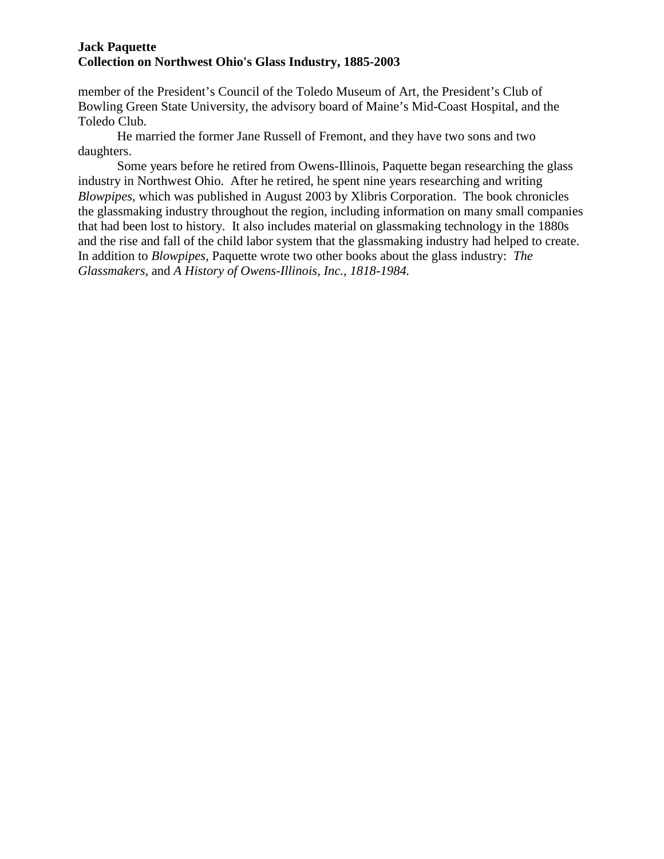member of the President's Council of the Toledo Museum of Art, the President's Club of Bowling Green State University, the advisory board of Maine's Mid-Coast Hospital, and the Toledo Club.

He married the former Jane Russell of Fremont, and they have two sons and two daughters.

Some years before he retired from Owens-Illinois, Paquette began researching the glass industry in Northwest Ohio. After he retired, he spent nine years researching and writing *Blowpipes*, which was published in August 2003 by Xlibris Corporation. The book chronicles the glassmaking industry throughout the region, including information on many small companies that had been lost to history. It also includes material on glassmaking technology in the 1880s and the rise and fall of the child labor system that the glassmaking industry had helped to create. In addition to *Blowpipes,* Paquette wrote two other books about the glass industry: *The Glassmakers*, and *A History of Owens-Illinois, Inc., 1818-1984.*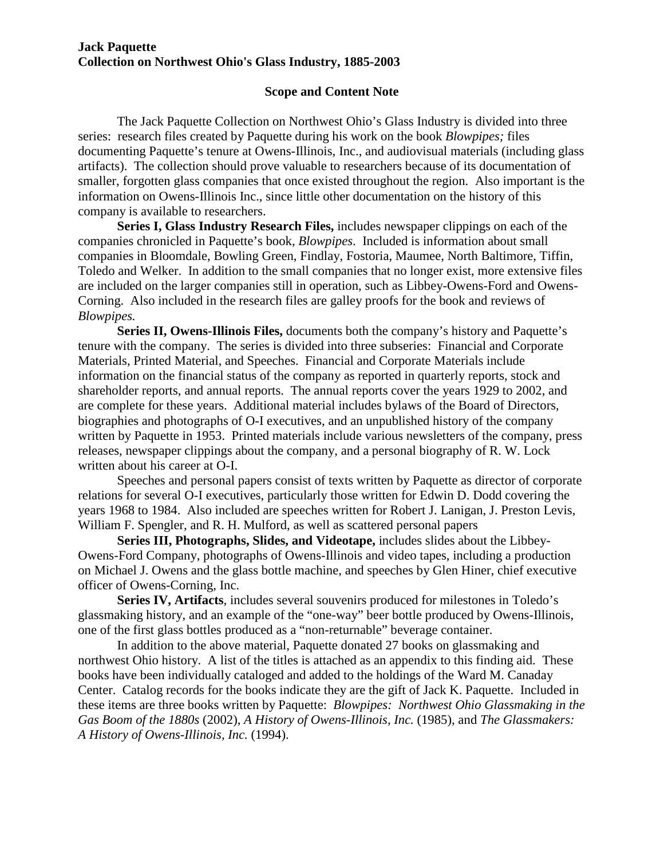#### **Scope and Content Note**

The Jack Paquette Collection on Northwest Ohio's Glass Industry is divided into three series: research files created by Paquette during his work on the book *Blowpipes;* files documenting Paquette's tenure at Owens-Illinois, Inc., and audiovisual materials (including glass artifacts). The collection should prove valuable to researchers because of its documentation of smaller, forgotten glass companies that once existed throughout the region. Also important is the information on Owens-Illinois Inc., since little other documentation on the history of this company is available to researchers.

**Series I, Glass Industry Research Files,** includes newspaper clippings on each of the companies chronicled in Paquette's book, *Blowpipes*. Included is information about small companies in Bloomdale, Bowling Green, Findlay, Fostoria, Maumee, North Baltimore, Tiffin, Toledo and Welker. In addition to the small companies that no longer exist, more extensive files are included on the larger companies still in operation, such as Libbey-Owens-Ford and Owens-Corning. Also included in the research files are galley proofs for the book and reviews of *Blowpipes.*

**Series II, Owens-Illinois Files,** documents both the company's history and Paquette's tenure with the company. The series is divided into three subseries: Financial and Corporate Materials, Printed Material, and Speeches. Financial and Corporate Materials include information on the financial status of the company as reported in quarterly reports, stock and shareholder reports, and annual reports. The annual reports cover the years 1929 to 2002, and are complete for these years. Additional material includes bylaws of the Board of Directors, biographies and photographs of O-I executives, and an unpublished history of the company written by Paquette in 1953. Printed materials include various newsletters of the company, press releases, newspaper clippings about the company, and a personal biography of R. W. Lock written about his career at O-I.

Speeches and personal papers consist of texts written by Paquette as director of corporate relations for several O-I executives, particularly those written for Edwin D. Dodd covering the years 1968 to 1984. Also included are speeches written for Robert J. Lanigan, J. Preston Levis, William F. Spengler, and R. H. Mulford, as well as scattered personal papers

**Series III, Photographs, Slides, and Videotape,** includes slides about the Libbey-Owens-Ford Company, photographs of Owens-Illinois and video tapes, including a production on Michael J. Owens and the glass bottle machine, and speeches by Glen Hiner, chief executive officer of Owens-Corning, Inc.

**Series IV, Artifacts**, includes several souvenirs produced for milestones in Toledo's glassmaking history, and an example of the "one-way" beer bottle produced by Owens-Illinois, one of the first glass bottles produced as a "non-returnable" beverage container.

In addition to the above material, Paquette donated 27 books on glassmaking and northwest Ohio history. A list of the titles is attached as an appendix to this finding aid. These books have been individually cataloged and added to the holdings of the Ward M. Canaday Center. Catalog records for the books indicate they are the gift of Jack K. Paquette. Included in these items are three books written by Paquette: *Blowpipes: Northwest Ohio Glassmaking in the Gas Boom of the 1880s* (2002), *A History of Owens-Illinois, Inc.* (1985), and *The Glassmakers: A History of Owens-Illinois, Inc.* (1994).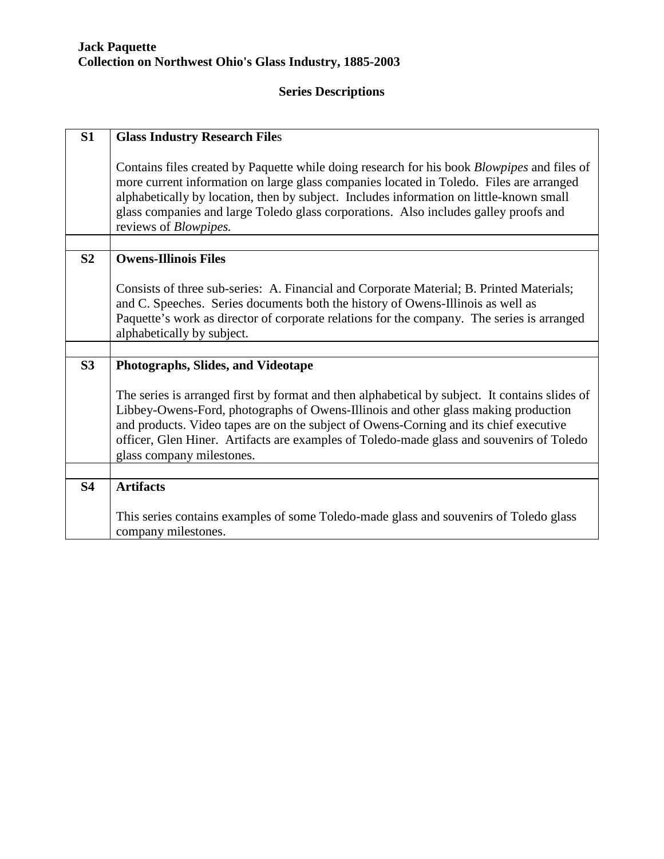# **Series Descriptions**

| S1             | <b>Glass Industry Research Files</b>                                                                                                                                                                                                                                                                                                                                                                              |
|----------------|-------------------------------------------------------------------------------------------------------------------------------------------------------------------------------------------------------------------------------------------------------------------------------------------------------------------------------------------------------------------------------------------------------------------|
|                | Contains files created by Paquette while doing research for his book <i>Blowpipes</i> and files of<br>more current information on large glass companies located in Toledo. Files are arranged<br>alphabetically by location, then by subject. Includes information on little-known small<br>glass companies and large Toledo glass corporations. Also includes galley proofs and<br>reviews of <i>Blowpipes</i> . |
|                |                                                                                                                                                                                                                                                                                                                                                                                                                   |
| S <sub>2</sub> | <b>Owens-Illinois Files</b>                                                                                                                                                                                                                                                                                                                                                                                       |
|                | Consists of three sub-series: A. Financial and Corporate Material; B. Printed Materials;<br>and C. Speeches. Series documents both the history of Owens-Illinois as well as<br>Paquette's work as director of corporate relations for the company. The series is arranged<br>alphabetically by subject.                                                                                                           |
|                |                                                                                                                                                                                                                                                                                                                                                                                                                   |
| S3             | Photographs, Slides, and Videotape                                                                                                                                                                                                                                                                                                                                                                                |
|                | The series is arranged first by format and then alphabetical by subject. It contains slides of<br>Libbey-Owens-Ford, photographs of Owens-Illinois and other glass making production<br>and products. Video tapes are on the subject of Owens-Corning and its chief executive<br>officer, Glen Hiner. Artifacts are examples of Toledo-made glass and souvenirs of Toledo<br>glass company milestones.            |
|                |                                                                                                                                                                                                                                                                                                                                                                                                                   |
| <b>S4</b>      | <b>Artifacts</b>                                                                                                                                                                                                                                                                                                                                                                                                  |
|                | This series contains examples of some Toledo-made glass and souvenirs of Toledo glass<br>company milestones.                                                                                                                                                                                                                                                                                                      |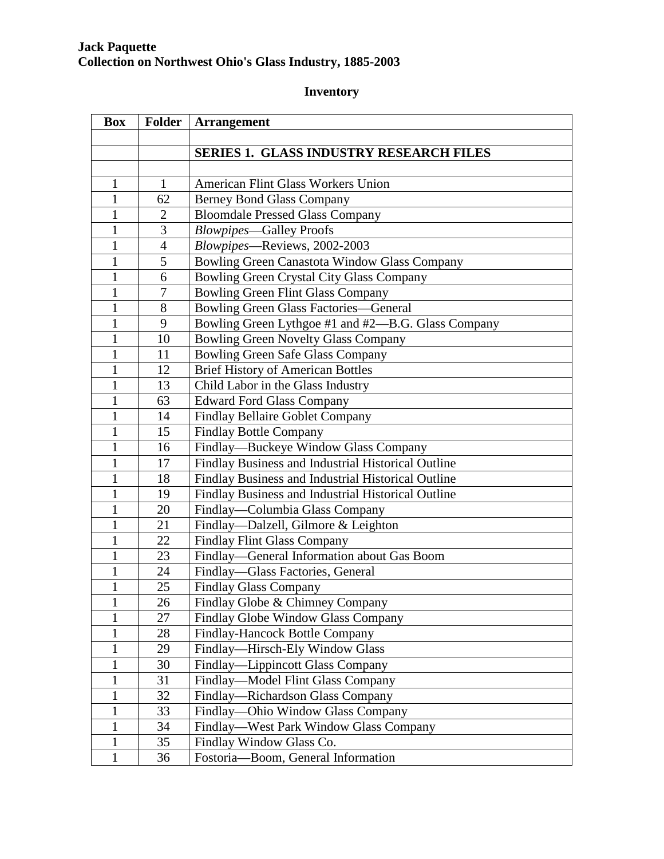# **Inventory**

| <b>Box</b>   | Folder         | <b>Arrangement</b>                                 |
|--------------|----------------|----------------------------------------------------|
|              |                |                                                    |
|              |                | <b>SERIES 1. GLASS INDUSTRY RESEARCH FILES</b>     |
|              |                |                                                    |
| 1            | $\mathbf{1}$   | American Flint Glass Workers Union                 |
| 1            | 62             | <b>Berney Bond Glass Company</b>                   |
| 1            | $\overline{2}$ | <b>Bloomdale Pressed Glass Company</b>             |
| 1            | 3              | <b>Blowpipes-Galley Proofs</b>                     |
| $\mathbf{1}$ | $\overline{4}$ | Blowpipes-Reviews, 2002-2003                       |
| 1            | 5              | Bowling Green Canastota Window Glass Company       |
| $\mathbf{1}$ | 6              | Bowling Green Crystal City Glass Company           |
| 1            | 7              | <b>Bowling Green Flint Glass Company</b>           |
| $\mathbf{1}$ | 8              | <b>Bowling Green Glass Factories—General</b>       |
| 1            | 9              | Bowling Green Lythgoe #1 and #2—B.G. Glass Company |
| 1            | 10             | <b>Bowling Green Novelty Glass Company</b>         |
| $\mathbf{1}$ | 11             | <b>Bowling Green Safe Glass Company</b>            |
| $\mathbf{1}$ | 12             | <b>Brief History of American Bottles</b>           |
| $\mathbf{1}$ | 13             | Child Labor in the Glass Industry                  |
| $\mathbf{1}$ | 63             | <b>Edward Ford Glass Company</b>                   |
| $\mathbf{1}$ | 14             | <b>Findlay Bellaire Goblet Company</b>             |
| $\mathbf{1}$ | 15             | <b>Findlay Bottle Company</b>                      |
| 1            | 16             | Findlay-Buckeye Window Glass Company               |
| $\mathbf{1}$ | 17             | Findlay Business and Industrial Historical Outline |
| $\mathbf{1}$ | 18             | Findlay Business and Industrial Historical Outline |
| 1            | 19             | Findlay Business and Industrial Historical Outline |
| 1            | 20             | Findlay—Columbia Glass Company                     |
| 1            | 21             | Findlay—Dalzell, Gilmore & Leighton                |
| 1            | 22             | Findlay Flint Glass Company                        |
| $\mathbf{1}$ | 23             | Findlay—General Information about Gas Boom         |
| $\mathbf{1}$ | 24             | Findlay-Glass Factories, General                   |
| $\mathbf{1}$ | 25             | <b>Findlay Glass Company</b>                       |
| $\mathbf{I}$ | 26             | Findlay Globe & Chimney Company                    |
| $\mathbf{1}$ | 27             | Findlay Globe Window Glass Company                 |
| $\mathbf{1}$ | 28             | Findlay-Hancock Bottle Company                     |
| $\mathbf{1}$ | 29             | Findlay—Hirsch-Ely Window Glass                    |
| $\mathbf{1}$ | 30             | Findlay-Lippincott Glass Company                   |
| $\mathbf{1}$ | 31             | Findlay-Model Flint Glass Company                  |
| $\mathbf{1}$ | 32             | Findlay—Richardson Glass Company                   |
| $\mathbf{1}$ | 33             | Findlay-Ohio Window Glass Company                  |
| 1            | 34             | Findlay—West Park Window Glass Company             |
| $\mathbf{1}$ | 35             | Findlay Window Glass Co.                           |
| $\mathbf{1}$ | 36             | Fostoria-Boom, General Information                 |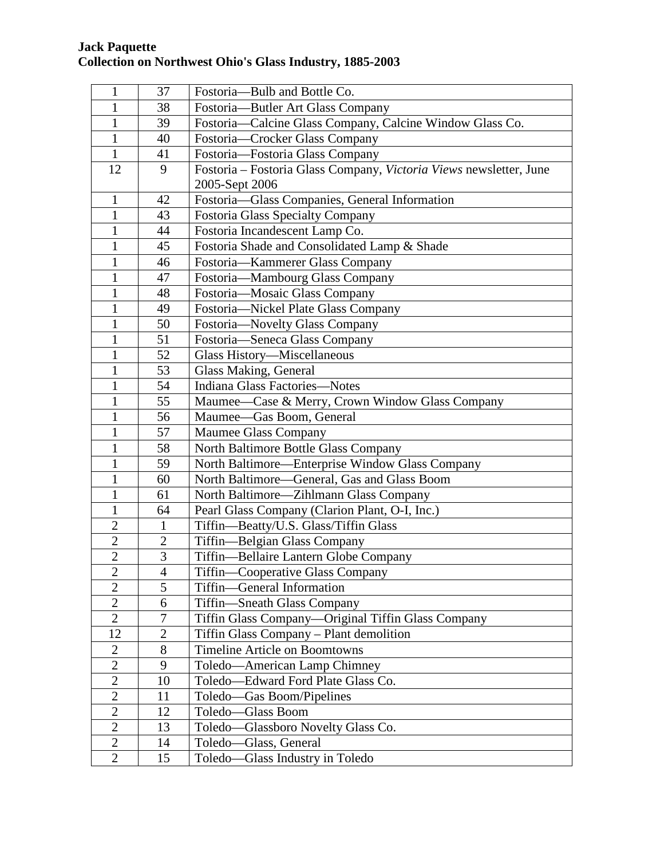| $\mathbf{1}$   | 37             | Fostoria-Bulb and Bottle Co.                                       |
|----------------|----------------|--------------------------------------------------------------------|
| $\mathbf{1}$   | 38             | Fostoria-Butler Art Glass Company                                  |
| $\mathbf{1}$   | 39             | Fostoria—Calcine Glass Company, Calcine Window Glass Co.           |
| $\mathbf{1}$   | 40             | Fostoria-Crocker Glass Company                                     |
| $\mathbf{1}$   | 41             | Fostoria-Fostoria Glass Company                                    |
| 12             | 9              | Fostoria - Fostoria Glass Company, Victoria Views newsletter, June |
|                |                | 2005-Sept 2006                                                     |
| $\mathbf{1}$   | 42             | Fostoria-Glass Companies, General Information                      |
| 1              | 43             | Fostoria Glass Specialty Company                                   |
| 1              | 44             | Fostoria Incandescent Lamp Co.                                     |
| 1              | 45             | Fostoria Shade and Consolidated Lamp & Shade                       |
| 1              | 46             | Fostoria-Kammerer Glass Company                                    |
| $\mathbf{1}$   | 47             | Fostoria-Mambourg Glass Company                                    |
| 1              | 48             | Fostoria-Mosaic Glass Company                                      |
| $\mathbf{1}$   | 49             | Fostoria-Nickel Plate Glass Company                                |
| 1              | 50             | Fostoria-Novelty Glass Company                                     |
| $\mathbf{1}$   | 51             | Fostoria-Seneca Glass Company                                      |
| $\mathbf{1}$   | 52             | Glass History-Miscellaneous                                        |
| $\mathbf{1}$   | 53             | Glass Making, General                                              |
| 1              | 54             | Indiana Glass Factories-Notes                                      |
| 1              | 55             | Maumee—Case & Merry, Crown Window Glass Company                    |
| $\mathbf{1}$   | 56             | Maumee-Gas Boom, General                                           |
| $\mathbf{1}$   | 57             | Maumee Glass Company                                               |
| 1              | 58             | North Baltimore Bottle Glass Company                               |
| $\mathbf{1}$   | 59             | North Baltimore-Enterprise Window Glass Company                    |
| 1              | 60             | North Baltimore-General, Gas and Glass Boom                        |
| 1              | 61             | North Baltimore—Zihlmann Glass Company                             |
| 1              | 64             | Pearl Glass Company (Clarion Plant, O-I, Inc.)                     |
| $\overline{2}$ | 1              | Tiffin-Beatty/U.S. Glass/Tiffin Glass                              |
| $\overline{2}$ | $\overline{2}$ | Tiffin-Belgian Glass Company                                       |
| $\overline{2}$ | $\overline{3}$ | Tiffin—Bellaire Lantern Globe Company                              |
| $\overline{c}$ | $\overline{4}$ | Tiffin—Cooperative Glass Company                                   |
| $\overline{2}$ | $\overline{5}$ | Tiffin—General Information                                         |
| $\overline{2}$ | 6              | Tiffin—Sneath Glass Company                                        |
| $\overline{2}$ | 7              | Tiffin Glass Company-Original Tiffin Glass Company                 |
| 12             | $\overline{2}$ | Tiffin Glass Company - Plant demolition                            |
| $\overline{2}$ | 8              | <b>Timeline Article on Boomtowns</b>                               |
| $\overline{2}$ | 9              | Toledo-American Lamp Chimney                                       |
| $\overline{2}$ | 10             | Toledo-Edward Ford Plate Glass Co.                                 |
| $\overline{2}$ | 11             | Toledo—Gas Boom/Pipelines                                          |
| $\mathbf{2}$   | 12             | Toledo-Glass Boom                                                  |
| $\overline{2}$ | 13             | Toledo-Glassboro Novelty Glass Co.                                 |
| $\overline{2}$ | 14             | Toledo-Glass, General                                              |
| $\mathbf{2}$   | 15             | Toledo—Glass Industry in Toledo                                    |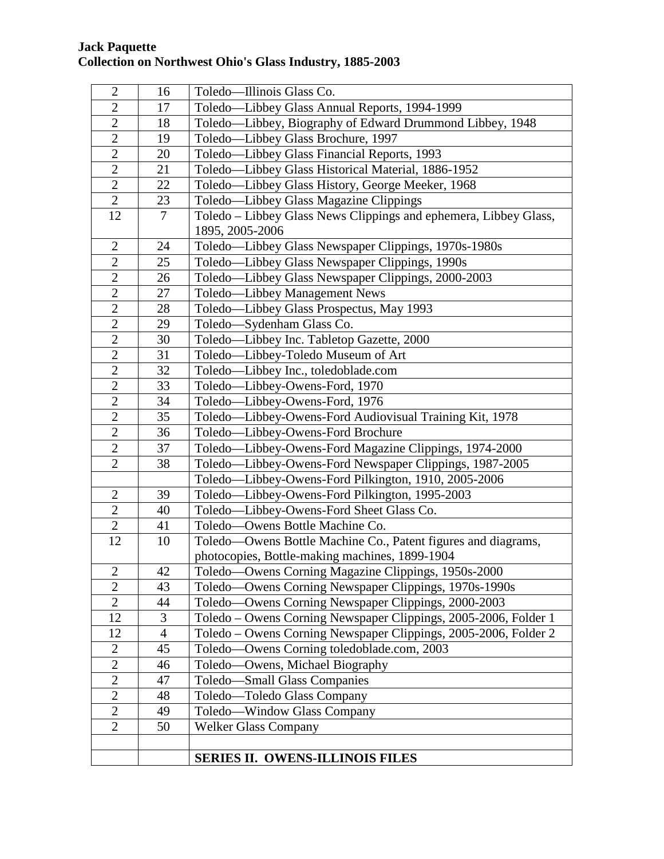| $\overline{2}$ | 16             | Toledo-Illinois Glass Co.                                        |
|----------------|----------------|------------------------------------------------------------------|
| $\overline{2}$ | 17             | Toledo-Libbey Glass Annual Reports, 1994-1999                    |
| $\overline{2}$ | 18             | Toledo—Libbey, Biography of Edward Drummond Libbey, 1948         |
| $\overline{2}$ | 19             | Toledo-Libbey Glass Brochure, 1997                               |
| $\overline{2}$ | 20             | Toledo—Libbey Glass Financial Reports, 1993                      |
| $\overline{2}$ | 21             | Toledo-Libbey Glass Historical Material, 1886-1952               |
| $\overline{2}$ | 22             | Toledo—Libbey Glass History, George Meeker, 1968                 |
| $\overline{2}$ | 23             | Toledo—Libbey Glass Magazine Clippings                           |
| 12             | 7              | Toledo - Libbey Glass News Clippings and ephemera, Libbey Glass, |
|                |                | 1895, 2005-2006                                                  |
| $\overline{2}$ | 24             | Toledo-Libbey Glass Newspaper Clippings, 1970s-1980s             |
| $\overline{2}$ | 25             | Toledo—Libbey Glass Newspaper Clippings, 1990s                   |
| $\overline{2}$ | 26             | Toledo-Libbey Glass Newspaper Clippings, 2000-2003               |
| $\overline{2}$ | 27             | Toledo-Libbey Management News                                    |
| $\overline{2}$ | 28             | Toledo-Libbey Glass Prospectus, May 1993                         |
| $\overline{2}$ | 29             | Toledo-Sydenham Glass Co.                                        |
| $\overline{2}$ | 30             | Toledo-Libbey Inc. Tabletop Gazette, 2000                        |
| $\overline{2}$ | 31             | Toledo-Libbey-Toledo Museum of Art                               |
| $\overline{2}$ | 32             | Toledo-Libbey Inc., toledoblade.com                              |
| $\mathbf{2}$   | 33             | Toledo-Libbey-Owens-Ford, 1970                                   |
| $\mathbf{2}$   | 34             | Toledo-Libbey-Owens-Ford, 1976                                   |
| $\overline{2}$ | 35             | Toledo-Libbey-Owens-Ford Audiovisual Training Kit, 1978          |
| $\overline{2}$ | 36             | Toledo-Libbey-Owens-Ford Brochure                                |
| $\overline{2}$ | 37             | Toledo-Libbey-Owens-Ford Magazine Clippings, 1974-2000           |
| $\overline{2}$ | 38             | Toledo-Libbey-Owens-Ford Newspaper Clippings, 1987-2005          |
|                |                | Toledo-Libbey-Owens-Ford Pilkington, 1910, 2005-2006             |
| $\overline{2}$ | 39             | Toledo-Libbey-Owens-Ford Pilkington, 1995-2003                   |
| $\overline{2}$ | 40             | Toledo-Libbey-Owens-Ford Sheet Glass Co.                         |
| $\overline{2}$ | 41             | Toledo-Owens Bottle Machine Co.                                  |
| 12             | 10             | Toledo—Owens Bottle Machine Co., Patent figures and diagrams,    |
|                |                | photocopies, Bottle-making machines, 1899-1904                   |
| $\overline{2}$ | 42             | Toledo-Owens Corning Magazine Clippings, 1950s-2000              |
| $\overline{2}$ | 43             | Toledo—Owens Corning Newspaper Clippings, 1970s-1990s            |
| $\mathbf{2}$   | 44             | Toledo-Owens Corning Newspaper Clippings, 2000-2003              |
| 12             | 3              | Toledo - Owens Corning Newspaper Clippings, 2005-2006, Folder 1  |
| 12             | $\overline{4}$ | Toledo - Owens Corning Newspaper Clippings, 2005-2006, Folder 2  |
| $\mathbf{2}$   | 45             | Toledo-Owens Corning toledoblade.com, 2003                       |
| $\overline{2}$ | 46             | Toledo-Owens, Michael Biography                                  |
| $\overline{2}$ | 47             | Toledo-Small Glass Companies                                     |
| $\overline{2}$ | 48             | Toledo-Toledo Glass Company                                      |
| $\mathbf{2}$   | 49             | Toledo-Window Glass Company                                      |
| $\overline{2}$ | 50             | <b>Welker Glass Company</b>                                      |
|                |                |                                                                  |
|                |                | <b>SERIES II. OWENS-ILLINOIS FILES</b>                           |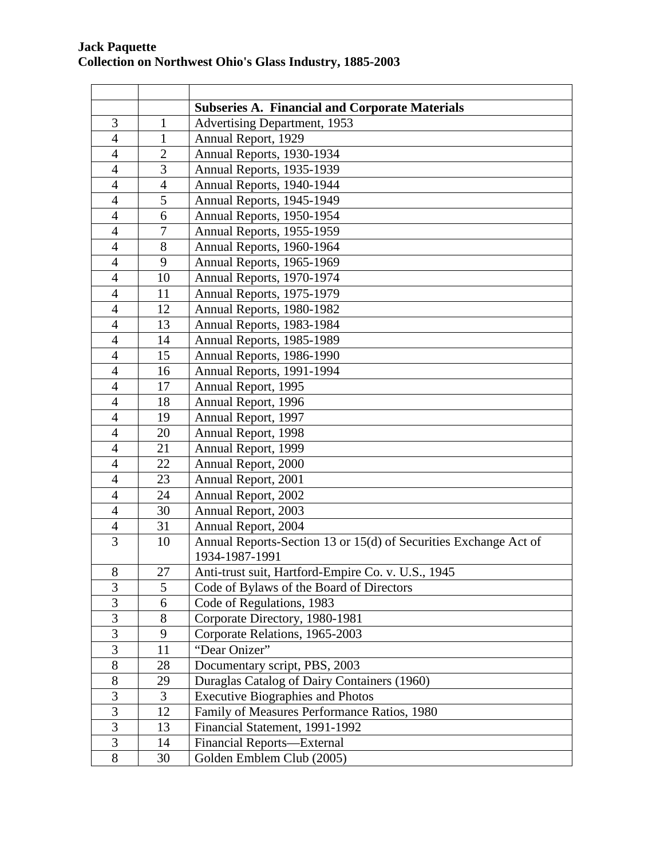|                |                | <b>Subseries A. Financial and Corporate Materials</b>            |
|----------------|----------------|------------------------------------------------------------------|
| 3              | $\mathbf{1}$   | <b>Advertising Department, 1953</b>                              |
| $\overline{4}$ | $\mathbf{1}$   | Annual Report, 1929                                              |
| $\overline{4}$ | $\overline{2}$ | Annual Reports, 1930-1934                                        |
| $\overline{4}$ | 3              | Annual Reports, 1935-1939                                        |
| $\overline{4}$ | $\overline{4}$ | Annual Reports, 1940-1944                                        |
| $\overline{4}$ | 5              | Annual Reports, 1945-1949                                        |
| $\overline{4}$ | 6              | Annual Reports, 1950-1954                                        |
| $\overline{4}$ | 7              | Annual Reports, 1955-1959                                        |
| $\overline{4}$ | 8              | Annual Reports, 1960-1964                                        |
| $\overline{4}$ | 9              | Annual Reports, 1965-1969                                        |
| $\overline{4}$ | 10             | Annual Reports, 1970-1974                                        |
| $\overline{4}$ | 11             | Annual Reports, 1975-1979                                        |
| $\overline{4}$ | 12             | Annual Reports, 1980-1982                                        |
| $\overline{4}$ | 13             | Annual Reports, 1983-1984                                        |
| $\overline{4}$ | 14             | Annual Reports, 1985-1989                                        |
| $\overline{4}$ | 15             | Annual Reports, 1986-1990                                        |
| $\overline{4}$ | 16             | Annual Reports, 1991-1994                                        |
| $\overline{4}$ | 17             | Annual Report, 1995                                              |
| $\overline{4}$ | 18             | Annual Report, 1996                                              |
| $\overline{4}$ | 19             | Annual Report, 1997                                              |
| 4              | 20             | Annual Report, 1998                                              |
| $\overline{4}$ | 21             | Annual Report, 1999                                              |
| $\overline{4}$ | 22             | Annual Report, 2000                                              |
| $\overline{4}$ | 23             | Annual Report, 2001                                              |
| $\overline{4}$ | 24             | Annual Report, 2002                                              |
| $\overline{4}$ | 30             | Annual Report, 2003                                              |
| $\overline{4}$ | 31             | Annual Report, 2004                                              |
| $\overline{3}$ | 10             | Annual Reports-Section 13 or 15(d) of Securities Exchange Act of |
|                |                | 1934-1987-1991                                                   |
| $8\,$          | 27             | Anti-trust suit, Hartford-Empire Co. v. U.S., 1945               |
| 3              | 5              | Code of Bylaws of the Board of Directors                         |
| 3              | 6              | Code of Regulations, 1983                                        |
| 3              | 8              | Corporate Directory, 1980-1981                                   |
| 3              | 9              | Corporate Relations, 1965-2003                                   |
| 3              | 11             | "Dear Onizer"                                                    |
| 8              | 28             | Documentary script, PBS, 2003                                    |
| $8\,$          | 29             | Duraglas Catalog of Dairy Containers (1960)                      |
| 3              | 3              | <b>Executive Biographies and Photos</b>                          |
| 3              | 12             | Family of Measures Performance Ratios, 1980                      |
| 3              | 13             | Financial Statement, 1991-1992                                   |
| 3              | 14             | Financial Reports-External                                       |
| 8              | 30             | Golden Emblem Club (2005)                                        |
|                |                |                                                                  |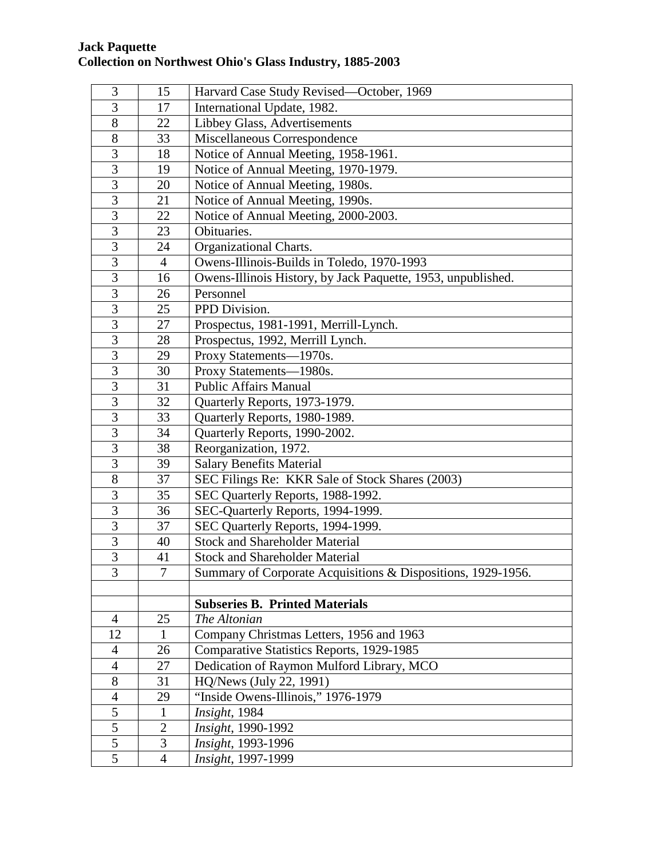| 3              | 15             | Harvard Case Study Revised-October, 1969                     |
|----------------|----------------|--------------------------------------------------------------|
| 3              | 17             | International Update, 1982.                                  |
| 8              | 22             | Libbey Glass, Advertisements                                 |
| 8              | 33             | Miscellaneous Correspondence                                 |
| 3              | 18             | Notice of Annual Meeting, 1958-1961.                         |
| 3              | 19             | Notice of Annual Meeting, 1970-1979.                         |
| 3              | 20             | Notice of Annual Meeting, 1980s.                             |
| 3              | 21             | Notice of Annual Meeting, 1990s.                             |
| 3              | 22             | Notice of Annual Meeting, 2000-2003.                         |
| 3              | 23             | Obituaries.                                                  |
| 3              | 24             | Organizational Charts.                                       |
| 3              | $\overline{4}$ | Owens-Illinois-Builds in Toledo, 1970-1993                   |
| $\overline{3}$ | 16             | Owens-Illinois History, by Jack Paquette, 1953, unpublished. |
| $\overline{3}$ | 26             | Personnel                                                    |
| $\overline{3}$ | 25             | PPD Division.                                                |
| $\overline{3}$ | 27             | Prospectus, 1981-1991, Merrill-Lynch.                        |
| 3              | 28             | Prospectus, 1992, Merrill Lynch.                             |
| 3              | 29             | Proxy Statements-1970s.                                      |
| $\overline{3}$ | 30             | Proxy Statements-1980s.                                      |
| 3              | 31             | <b>Public Affairs Manual</b>                                 |
| 3              | 32             | Quarterly Reports, 1973-1979.                                |
| 3              | 33             | Quarterly Reports, 1980-1989.                                |
| 3              | 34             | Quarterly Reports, 1990-2002.                                |
| 3              | 38             | Reorganization, 1972.                                        |
| 3              | 39             | <b>Salary Benefits Material</b>                              |
| 8              | 37             | SEC Filings Re: KKR Sale of Stock Shares (2003)              |
| 3              | 35             | SEC Quarterly Reports, 1988-1992.                            |
| 3              | 36             | SEC-Quarterly Reports, 1994-1999.                            |
| $\overline{3}$ | 37             | SEC Quarterly Reports, 1994-1999.                            |
| $\overline{3}$ | 40             | <b>Stock and Shareholder Material</b>                        |
| 3              | 41             | <b>Stock and Shareholder Material</b>                        |
| 3              | 7              | Summary of Corporate Acquisitions & Dispositions, 1929-1956. |
|                |                |                                                              |
|                |                | <b>Subseries B. Printed Materials</b>                        |
| $\overline{4}$ | 25             | The Altonian                                                 |
| 12             | $\mathbf{1}$   | Company Christmas Letters, 1956 and 1963                     |
| $\overline{4}$ | 26             | Comparative Statistics Reports, 1929-1985                    |
| $\overline{4}$ | 27             | Dedication of Raymon Mulford Library, MCO                    |
| 8              | 31             | HQ/News (July 22, 1991)                                      |
| $\overline{4}$ | 29             | "Inside Owens-Illinois," 1976-1979                           |
| 5              | $\mathbf{1}$   | Insight, 1984                                                |
| 5              | $\overline{2}$ | Insight, 1990-1992                                           |
| $\overline{5}$ | 3              | Insight, 1993-1996                                           |
| $\overline{5}$ | $\overline{4}$ | Insight, 1997-1999                                           |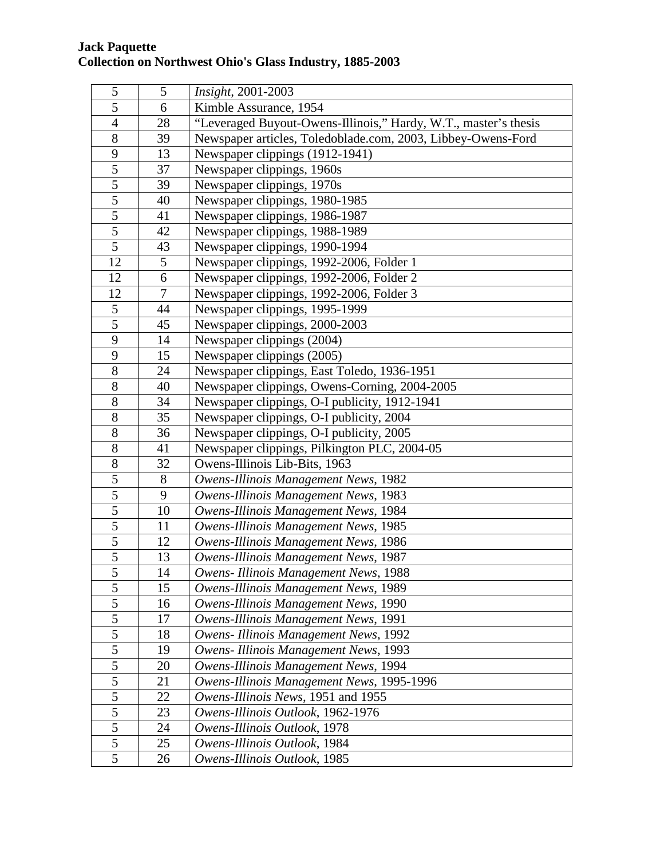| 5              | 5      | Insight, 2001-2003                                              |
|----------------|--------|-----------------------------------------------------------------|
| 5              | 6      | Kimble Assurance, 1954                                          |
| $\overline{4}$ | 28     | "Leveraged Buyout-Owens-Illinois," Hardy, W.T., master's thesis |
| 8              | 39     | Newspaper articles, Toledoblade.com, 2003, Libbey-Owens-Ford    |
| $\mathbf{9}$   | 13     | Newspaper clippings (1912-1941)                                 |
| $\overline{5}$ | 37     | Newspaper clippings, 1960s                                      |
| $\overline{5}$ | 39     | Newspaper clippings, 1970s                                      |
| $\overline{5}$ | 40     | Newspaper clippings, 1980-1985                                  |
| $\overline{5}$ | 41     | Newspaper clippings, 1986-1987                                  |
| $\overline{5}$ | 42     | Newspaper clippings, 1988-1989                                  |
| $\overline{5}$ | 43     | Newspaper clippings, 1990-1994                                  |
| 12             | 5      | Newspaper clippings, 1992-2006, Folder 1                        |
| 12             | 6      | Newspaper clippings, 1992-2006, Folder 2                        |
| 12             | $\tau$ | Newspaper clippings, 1992-2006, Folder 3                        |
| 5              | 44     | Newspaper clippings, 1995-1999                                  |
| 5              | 45     | Newspaper clippings, 2000-2003                                  |
| 9              | 14     | Newspaper clippings (2004)                                      |
| 9              | 15     | Newspaper clippings (2005)                                      |
| 8              | 24     | Newspaper clippings, East Toledo, 1936-1951                     |
| 8              | 40     | Newspaper clippings, Owens-Corning, 2004-2005                   |
| 8              | 34     | Newspaper clippings, O-I publicity, 1912-1941                   |
| 8              | 35     | Newspaper clippings, O-I publicity, 2004                        |
| 8              | 36     | Newspaper clippings, O-I publicity, 2005                        |
| $8\,$          | 41     | Newspaper clippings, Pilkington PLC, 2004-05                    |
| $8\,$          | 32     | Owens-Illinois Lib-Bits, 1963                                   |
| 5              | 8      | Owens-Illinois Management News, 1982                            |
| 5              | 9      | Owens-Illinois Management News, 1983                            |
| $\overline{5}$ | 10     | Owens-Illinois Management News, 1984                            |
| 5              | 11     | Owens-Illinois Management News, 1985                            |
| 5              | 12     | Owens-Illinois Management News, 1986                            |
| 5              | 13     | Owens-Illinois Management News, 1987                            |
| 5              | 14     | Owens- Illinois Management News, 1988                           |
| 5              | 15     | Owens-Illinois Management News, 1989                            |
| 5              | 16     | Owens-Illinois Management News, 1990                            |
| 5              | 17     | Owens-Illinois Management News, 1991                            |
| $\sqrt{5}$     | 18     | Owens- Illinois Management News, 1992                           |
| $\overline{5}$ | 19     | Owens- Illinois Management News, 1993                           |
| $\overline{5}$ | 20     | Owens-Illinois Management News, 1994                            |
| 5              | 21     | Owens-Illinois Management News, 1995-1996                       |
| $\mathfrak{S}$ | 22     | Owens-Illinois News, 1951 and 1955                              |
| 5              | 23     | Owens-Illinois Outlook, 1962-1976                               |
| 5              | 24     | Owens-Illinois Outlook, 1978                                    |
| 5              | 25     | Owens-Illinois Outlook, 1984                                    |
| 5              | 26     | Owens-Illinois Outlook, 1985                                    |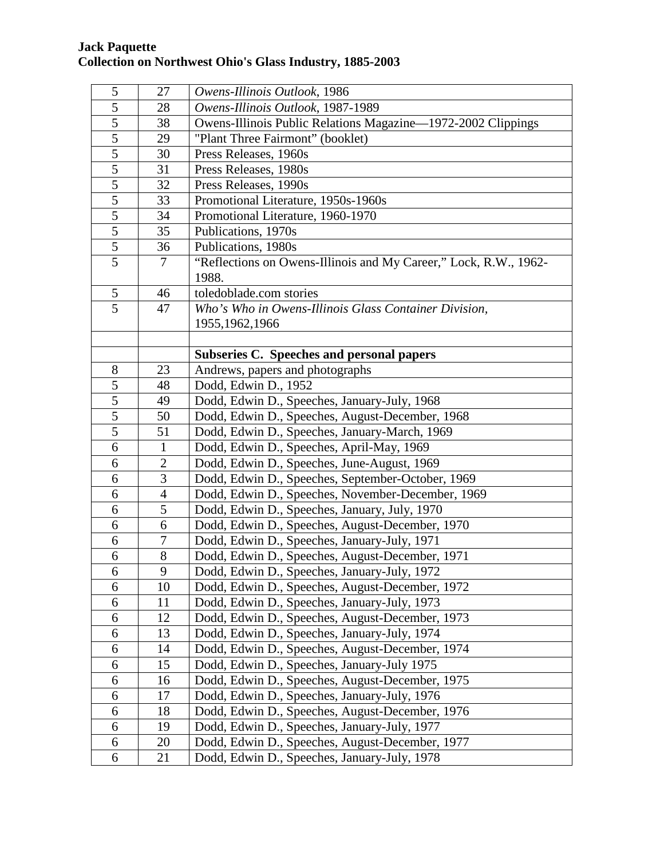| 5              | 27             | Owens-Illinois Outlook, 1986                                     |
|----------------|----------------|------------------------------------------------------------------|
| 5              | 28             | Owens-Illinois Outlook, 1987-1989                                |
| 5              | 38             | Owens-Illinois Public Relations Magazine—1972-2002 Clippings     |
| 5              | 29             | "Plant Three Fairmont" (booklet)                                 |
| $\overline{5}$ | 30             | Press Releases, 1960s                                            |
| $\overline{5}$ | 31             | Press Releases, 1980s                                            |
| $\overline{5}$ | 32             | Press Releases, 1990s                                            |
| $\overline{5}$ | 33             | Promotional Literature, 1950s-1960s                              |
| $\overline{5}$ | 34             | Promotional Literature, 1960-1970                                |
| $\overline{5}$ | 35             | Publications, 1970s                                              |
| $\overline{5}$ | 36             | Publications, 1980s                                              |
| 5              | 7              | "Reflections on Owens-Illinois and My Career," Lock, R.W., 1962- |
|                |                | 1988.                                                            |
| 5              | 46             | toledoblade.com stories                                          |
| $\overline{5}$ | 47             | Who's Who in Owens-Illinois Glass Container Division,            |
|                |                | 1955, 1962, 1966                                                 |
|                |                |                                                                  |
|                |                | Subseries C. Speeches and personal papers                        |
| $8\,$          | 23             | Andrews, papers and photographs                                  |
| 5              | 48             | Dodd, Edwin D., 1952                                             |
| 5              | 49             | Dodd, Edwin D., Speeches, January-July, 1968                     |
| 5              | 50             | Dodd, Edwin D., Speeches, August-December, 1968                  |
| 5              | 51             | Dodd, Edwin D., Speeches, January-March, 1969                    |
| 6              | $\mathbf{1}$   | Dodd, Edwin D., Speeches, April-May, 1969                        |
| 6              | $\overline{2}$ | Dodd, Edwin D., Speeches, June-August, 1969                      |
| 6              | $\overline{3}$ | Dodd, Edwin D., Speeches, September-October, 1969                |
| 6              | $\overline{4}$ | Dodd, Edwin D., Speeches, November-December, 1969                |
| 6              | 5              | Dodd, Edwin D., Speeches, January, July, 1970                    |
| 6              | 6              | Dodd, Edwin D., Speeches, August-December, 1970                  |
| 6              | 7              | Dodd, Edwin D., Speeches, January-July, 1971                     |
| 6              | 8              | Dodd, Edwin D., Speeches, August-December, 1971                  |
| 6              | 9              | Dodd, Edwin D., Speeches, January-July, 1972                     |
| 6              | 10             | Dodd, Edwin D., Speeches, August-December, 1972                  |
| 6              | 11             | Dodd, Edwin D., Speeches, January-July, 1973                     |
| 6              | 12             | Dodd, Edwin D., Speeches, August-December, 1973                  |
| 6              | 13             | Dodd, Edwin D., Speeches, January-July, 1974                     |
| 6              | 14             | Dodd, Edwin D., Speeches, August-December, 1974                  |
| 6              | 15             | Dodd, Edwin D., Speeches, January-July 1975                      |
| 6              | 16             | Dodd, Edwin D., Speeches, August-December, 1975                  |
| 6              | 17             | Dodd, Edwin D., Speeches, January-July, 1976                     |
| 6              | 18             | Dodd, Edwin D., Speeches, August-December, 1976                  |
| 6              | 19             | Dodd, Edwin D., Speeches, January-July, 1977                     |
| 6              | 20             | Dodd, Edwin D., Speeches, August-December, 1977                  |
| 6              | 21             | Dodd, Edwin D., Speeches, January-July, 1978                     |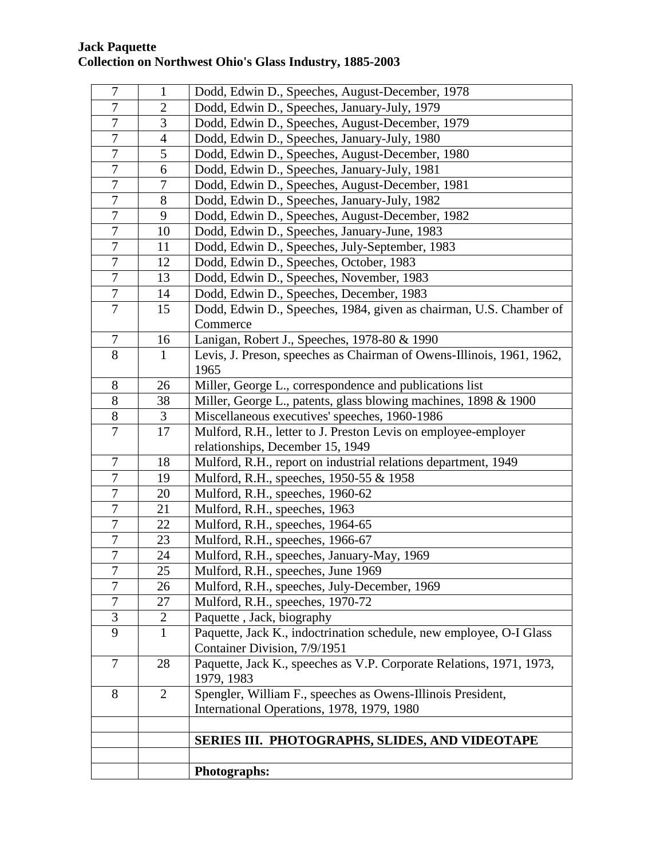| $\tau$           | 1              | Dodd, Edwin D., Speeches, August-December, 1978                       |
|------------------|----------------|-----------------------------------------------------------------------|
| 7                | $\overline{2}$ | Dodd, Edwin D., Speeches, January-July, 1979                          |
| 7                | 3              | Dodd, Edwin D., Speeches, August-December, 1979                       |
| 7                | $\overline{4}$ | Dodd, Edwin D., Speeches, January-July, 1980                          |
| $\overline{7}$   | 5              | Dodd, Edwin D., Speeches, August-December, 1980                       |
| $\overline{7}$   | 6              | Dodd, Edwin D., Speeches, January-July, 1981                          |
| $\overline{7}$   | $\overline{7}$ | Dodd, Edwin D., Speeches, August-December, 1981                       |
| $\overline{7}$   | 8              | Dodd, Edwin D., Speeches, January-July, 1982                          |
| $\overline{7}$   | 9              | Dodd, Edwin D., Speeches, August-December, 1982                       |
| $\tau$           | 10             | Dodd, Edwin D., Speeches, January-June, 1983                          |
| 7                | 11             | Dodd, Edwin D., Speeches, July-September, 1983                        |
| 7                | 12             | Dodd, Edwin D., Speeches, October, 1983                               |
| $\tau$           | 13             | Dodd, Edwin D., Speeches, November, 1983                              |
| $\tau$           | 14             | Dodd, Edwin D., Speeches, December, 1983                              |
| 7                | 15             | Dodd, Edwin D., Speeches, 1984, given as chairman, U.S. Chamber of    |
|                  |                | Commerce                                                              |
| $\tau$           | 16             | Lanigan, Robert J., Speeches, 1978-80 & 1990                          |
| 8                | $\mathbf{1}$   | Levis, J. Preson, speeches as Chairman of Owens-Illinois, 1961, 1962, |
|                  |                | 1965                                                                  |
| 8                | 26             | Miller, George L., correspondence and publications list               |
| 8                | 38             | Miller, George L., patents, glass blowing machines, 1898 & 1900       |
| 8                | 3              | Miscellaneous executives' speeches, 1960-1986                         |
| 7                | 17             | Mulford, R.H., letter to J. Preston Levis on employee-employer        |
|                  |                | relationships, December 15, 1949                                      |
| $\tau$           | 18             | Mulford, R.H., report on industrial relations department, 1949        |
| 7                | 19             | Mulford, R.H., speeches, 1950-55 & 1958                               |
| 7                | 20             | Mulford, R.H., speeches, 1960-62                                      |
| 7                | 21             | Mulford, R.H., speeches, 1963                                         |
| 7                | 22             | Mulford, R.H., speeches, 1964-65                                      |
| 7                | 23             | Mulford, R.H., speeches, 1966-67                                      |
| $\boldsymbol{7}$ | 24             | Mulford, R.H., speeches, January-May, 1969                            |
| 7                | 25             | Mulford, R.H., speeches, June 1969                                    |
| $\overline{7}$   | 26             | Mulford, R.H., speeches, July-December, 1969                          |
| 7                | 27             | Mulford, R.H., speeches, 1970-72                                      |
| 3                | $\overline{2}$ | Paquette, Jack, biography                                             |
| 9                | $\mathbf{1}$   | Paquette, Jack K., indoctrination schedule, new employee, O-I Glass   |
|                  |                | Container Division, 7/9/1951                                          |
| $\tau$           | 28             | Paquette, Jack K., speeches as V.P. Corporate Relations, 1971, 1973,  |
| 8                |                | 1979, 1983                                                            |
|                  | $\overline{2}$ | Spengler, William F., speeches as Owens-Illinois President,           |
|                  |                | International Operations, 1978, 1979, 1980                            |
|                  |                | SERIES III. PHOTOGRAPHS, SLIDES, AND VIDEOTAPE                        |
|                  |                |                                                                       |
|                  |                |                                                                       |
|                  |                | <b>Photographs:</b>                                                   |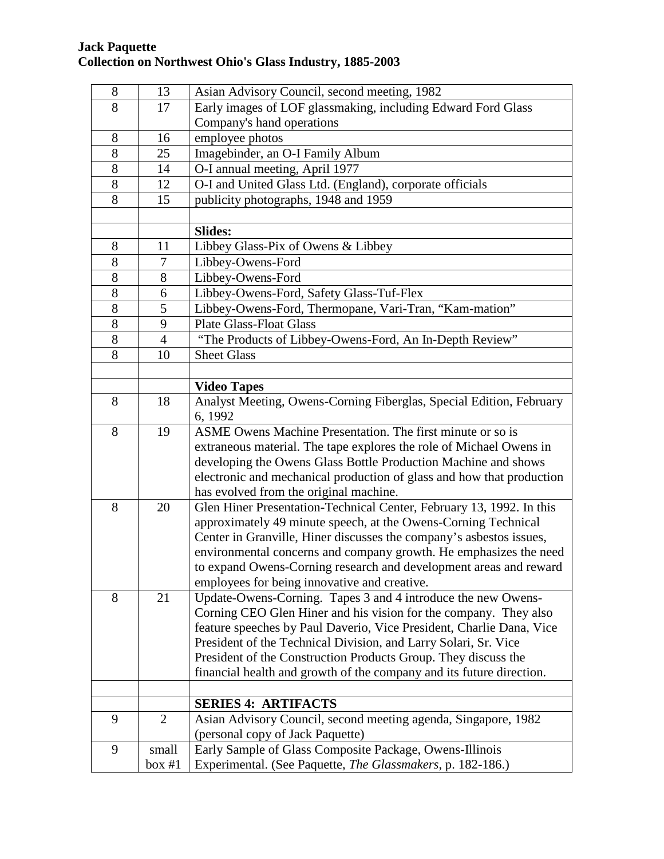| 8     | 13             | Asian Advisory Council, second meeting, 1982                          |
|-------|----------------|-----------------------------------------------------------------------|
| 8     | 17             | Early images of LOF glassmaking, including Edward Ford Glass          |
|       |                | Company's hand operations                                             |
| 8     | 16             | employee photos                                                       |
| 8     | 25             | Imagebinder, an O-I Family Album                                      |
| 8     | 14             | O-I annual meeting, April 1977                                        |
| 8     | 12             | O-I and United Glass Ltd. (England), corporate officials              |
| 8     | 15             | publicity photographs, 1948 and 1959                                  |
|       |                |                                                                       |
|       |                | <b>Slides:</b>                                                        |
| 8     | 11             | Libbey Glass-Pix of Owens & Libbey                                    |
| 8     | 7              | Libbey-Owens-Ford                                                     |
| 8     | 8              | Libbey-Owens-Ford                                                     |
| $8\,$ | 6              | Libbey-Owens-Ford, Safety Glass-Tuf-Flex                              |
| 8     | 5              | Libbey-Owens-Ford, Thermopane, Vari-Tran, "Kam-mation"                |
| 8     | 9              | <b>Plate Glass-Float Glass</b>                                        |
| 8     | $\overline{4}$ | "The Products of Libbey-Owens-Ford, An In-Depth Review"               |
| 8     | 10             | <b>Sheet Glass</b>                                                    |
|       |                |                                                                       |
|       |                | <b>Video Tapes</b>                                                    |
| 8     | 18             | Analyst Meeting, Owens-Corning Fiberglas, Special Edition, February   |
|       |                | 6, 1992                                                               |
| 8     | 19             | ASME Owens Machine Presentation. The first minute or so is            |
|       |                | extraneous material. The tape explores the role of Michael Owens in   |
|       |                | developing the Owens Glass Bottle Production Machine and shows        |
|       |                | electronic and mechanical production of glass and how that production |
|       |                | has evolved from the original machine.                                |
| 8     | 20             | Glen Hiner Presentation-Technical Center, February 13, 1992. In this  |
|       |                | approximately 49 minute speech, at the Owens-Corning Technical        |
|       |                | Center in Granville, Hiner discusses the company's asbestos issues,   |
|       |                | environmental concerns and company growth. He emphasizes the need     |
|       |                | to expand Owens-Corning research and development areas and reward     |
|       |                | employees for being innovative and creative.                          |
| 8     | 21             | Update-Owens-Corning. Tapes 3 and 4 introduce the new Owens-          |
|       |                | Corning CEO Glen Hiner and his vision for the company. They also      |
|       |                | feature speeches by Paul Daverio, Vice President, Charlie Dana, Vice  |
|       |                | President of the Technical Division, and Larry Solari, Sr. Vice       |
|       |                | President of the Construction Products Group. They discuss the        |
|       |                | financial health and growth of the company and its future direction.  |
|       |                | <b>SERIES 4: ARTIFACTS</b>                                            |
| 9     | $\overline{2}$ | Asian Advisory Council, second meeting agenda, Singapore, 1982        |
|       |                | (personal copy of Jack Paquette)                                      |
| 9     | small          | Early Sample of Glass Composite Package, Owens-Illinois               |
|       | box #1         | Experimental. (See Paquette, The Glassmakers, p. 182-186.)            |
|       |                |                                                                       |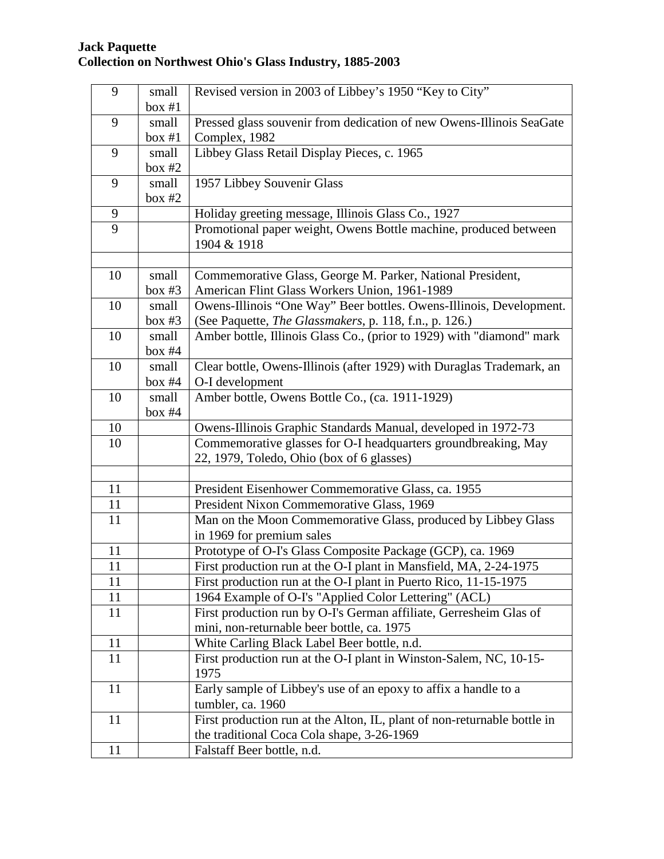| 9              | small    | Revised version in 2003 of Libbey's 1950 "Key to City"                                     |
|----------------|----------|--------------------------------------------------------------------------------------------|
|                |          |                                                                                            |
|                | box #1   |                                                                                            |
| 9              | small    | Pressed glass souvenir from dedication of new Owens-Illinois SeaGate                       |
|                | box #1   | Complex, 1982                                                                              |
| 9              | small    | Libbey Glass Retail Display Pieces, c. 1965                                                |
|                | box $#2$ |                                                                                            |
| 9              | small    | 1957 Libbey Souvenir Glass                                                                 |
|                | box $#2$ |                                                                                            |
| 9              |          | Holiday greeting message, Illinois Glass Co., 1927                                         |
| $\overline{9}$ |          | Promotional paper weight, Owens Bottle machine, produced between                           |
|                |          | 1904 & 1918                                                                                |
|                |          |                                                                                            |
| 10             | small    | Commemorative Glass, George M. Parker, National President,                                 |
|                | box #3   | American Flint Glass Workers Union, 1961-1989                                              |
| 10             | small    | Owens-Illinois "One Way" Beer bottles. Owens-Illinois, Development.                        |
|                | box #3   | (See Paquette, The Glassmakers, p. 118, f.n., p. 126.)                                     |
| 10             | small    | Amber bottle, Illinois Glass Co., (prior to 1929) with "diamond" mark                      |
|                | box #4   |                                                                                            |
| 10             | small    | Clear bottle, Owens-Illinois (after 1929) with Duraglas Trademark, an                      |
|                | box $#4$ | O-I development                                                                            |
| 10             | small    | Amber bottle, Owens Bottle Co., (ca. 1911-1929)                                            |
|                | box $#4$ |                                                                                            |
| 10             |          | Owens-Illinois Graphic Standards Manual, developed in 1972-73                              |
| 10             |          | Commemorative glasses for O-I headquarters groundbreaking, May                             |
|                |          | 22, 1979, Toledo, Ohio (box of 6 glasses)                                                  |
|                |          |                                                                                            |
| 11             |          | President Eisenhower Commemorative Glass, ca. 1955                                         |
| 11             |          | President Nixon Commemorative Glass, 1969                                                  |
| 11             |          |                                                                                            |
|                |          | Man on the Moon Commemorative Glass, produced by Libbey Glass<br>in 1969 for premium sales |
| 11             |          |                                                                                            |
|                |          | Prototype of O-I's Glass Composite Package (GCP), ca. 1969                                 |
| 11             |          | First production run at the O-I plant in Mansfield, MA, 2-24-1975                          |
| 11             |          | First production run at the O-I plant in Puerto Rico, 11-15-1975                           |
| 11             |          | 1964 Example of O-I's "Applied Color Lettering" (ACL)                                      |
| 11             |          | First production run by O-I's German affiliate, Gerresheim Glas of                         |
|                |          | mini, non-returnable beer bottle, ca. 1975                                                 |
| 11             |          | White Carling Black Label Beer bottle, n.d.                                                |
| 11             |          | First production run at the O-I plant in Winston-Salem, NC, 10-15-<br>1975                 |
| 11             |          | Early sample of Libbey's use of an epoxy to affix a handle to a                            |
|                |          | tumbler, ca. 1960                                                                          |
| 11             |          | First production run at the Alton, IL, plant of non-returnable bottle in                   |
|                |          | the traditional Coca Cola shape, 3-26-1969                                                 |
| 11             |          | Falstaff Beer bottle, n.d.                                                                 |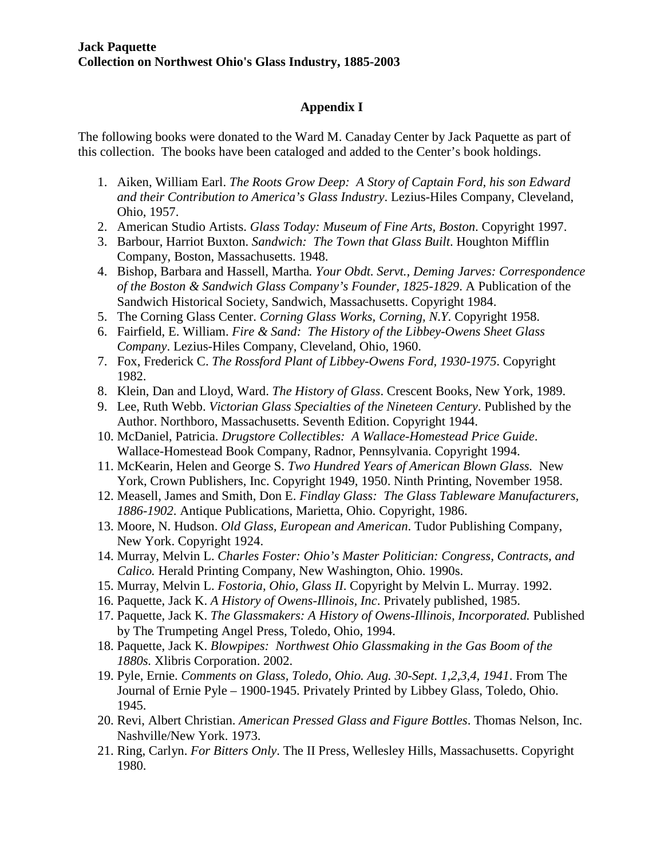## **Appendix I**

The following books were donated to the Ward M. Canaday Center by Jack Paquette as part of this collection. The books have been cataloged and added to the Center's book holdings.

- 1. Aiken, William Earl. *The Roots Grow Deep: A Story of Captain Ford, his son Edward and their Contribution to America's Glass Industry*. Lezius-Hiles Company, Cleveland, Ohio, 1957.
- 2. American Studio Artists. *Glass Today: Museum of Fine Arts, Boston*. Copyright 1997.
- 3. Barbour, Harriot Buxton. *Sandwich: The Town that Glass Built*. Houghton Mifflin Company, Boston, Massachusetts. 1948.
- 4. Bishop, Barbara and Hassell, Martha*. Your Obdt. Servt., Deming Jarves: Correspondence of the Boston & Sandwich Glass Company's Founder, 1825-1829*. A Publication of the Sandwich Historical Society, Sandwich, Massachusetts. Copyright 1984.
- 5. The Corning Glass Center. *Corning Glass Works, Corning, N.Y.* Copyright 1958.
- 6. Fairfield, E. William. *Fire & Sand: The History of the Libbey-Owens Sheet Glass Company*. Lezius-Hiles Company, Cleveland, Ohio, 1960.
- 7. Fox, Frederick C. *The Rossford Plant of Libbey-Owens Ford, 1930-1975*. Copyright 1982.
- 8. Klein, Dan and Lloyd, Ward. *The History of Glass*. Crescent Books, New York, 1989.
- 9. Lee, Ruth Webb. *Victorian Glass Specialties of the Nineteen Century*. Published by the Author. Northboro, Massachusetts. Seventh Edition. Copyright 1944.
- 10. McDaniel, Patricia. *Drugstore Collectibles: A Wallace-Homestead Price Guide*. Wallace-Homestead Book Company, Radnor, Pennsylvania. Copyright 1994.
- 11. McKearin, Helen and George S. *Two Hundred Years of American Blown Glass.* New York, Crown Publishers, Inc. Copyright 1949, 1950. Ninth Printing, November 1958.
- 12. Measell, James and Smith, Don E. *Findlay Glass: The Glass Tableware Manufacturers, 1886-1902*. Antique Publications, Marietta, Ohio. Copyright, 1986.
- 13. Moore, N. Hudson. *Old Glass, European and American*. Tudor Publishing Company, New York. Copyright 1924.
- 14. Murray, Melvin L. *Charles Foster: Ohio's Master Politician: Congress, Contracts, and Calico.* Herald Printing Company, New Washington, Ohio. 1990s.
- 15. Murray, Melvin L. *Fostoria, Ohio, Glass II*. Copyright by Melvin L. Murray. 1992.
- 16. Paquette, Jack K. *A History of Owens-Illinois, Inc*. Privately published, 1985.
- 17. Paquette, Jack K. *The Glassmakers: A History of Owens-Illinois, Incorporated.* Published by The Trumpeting Angel Press, Toledo, Ohio, 1994.
- 18. Paquette, Jack K. *Blowpipes: Northwest Ohio Glassmaking in the Gas Boom of the 1880s.* Xlibris Corporation. 2002.
- 19. Pyle, Ernie. *Comments on Glass, Toledo, Ohio. Aug. 30-Sept. 1,2,3,4, 1941*. From The Journal of Ernie Pyle – 1900-1945. Privately Printed by Libbey Glass, Toledo, Ohio. 1945.
- 20. Revi, Albert Christian. *American Pressed Glass and Figure Bottles*. Thomas Nelson, Inc. Nashville/New York. 1973.
- 21. Ring, Carlyn. *For Bitters Only*. The II Press, Wellesley Hills, Massachusetts. Copyright 1980.